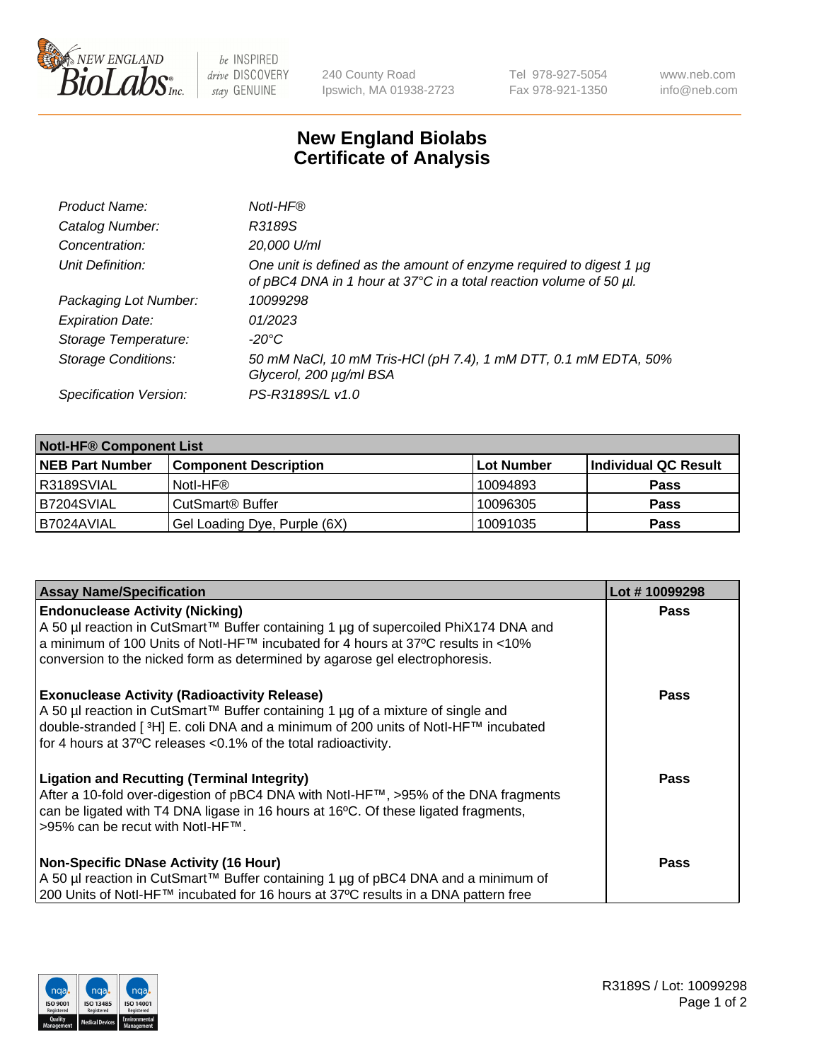

 $be$  INSPIRED drive DISCOVERY stay GENUINE

240 County Road Ipswich, MA 01938-2723 Tel 978-927-5054 Fax 978-921-1350 www.neb.com info@neb.com

## **New England Biolabs Certificate of Analysis**

| Product Name:              | Notl-HF®                                                                                                                                  |
|----------------------------|-------------------------------------------------------------------------------------------------------------------------------------------|
| Catalog Number:            | R3189S                                                                                                                                    |
| Concentration:             | 20,000 U/ml                                                                                                                               |
| Unit Definition:           | One unit is defined as the amount of enzyme required to digest 1 µg<br>of pBC4 DNA in 1 hour at 37°C in a total reaction volume of 50 µl. |
| Packaging Lot Number:      | 10099298                                                                                                                                  |
| <b>Expiration Date:</b>    | 01/2023                                                                                                                                   |
| Storage Temperature:       | $-20^{\circ}$ C                                                                                                                           |
| <b>Storage Conditions:</b> | 50 mM NaCl, 10 mM Tris-HCl (pH 7.4), 1 mM DTT, 0.1 mM EDTA, 50%<br>Glycerol, 200 µg/ml BSA                                                |
| Specification Version:     | PS-R3189S/L v1.0                                                                                                                          |

| <b>Notl-HF® Component List</b> |                              |            |                      |  |  |
|--------------------------------|------------------------------|------------|----------------------|--|--|
| <b>NEB Part Number</b>         | <b>Component Description</b> | Lot Number | Individual QC Result |  |  |
| R3189SVIAL                     | Notl-HF®                     | 10094893   | <b>Pass</b>          |  |  |
| B7204SVIAL                     | CutSmart <sup>®</sup> Buffer | 10096305   | <b>Pass</b>          |  |  |
| B7024AVIAL                     | Gel Loading Dye, Purple (6X) | 10091035   | <b>Pass</b>          |  |  |

| <b>Assay Name/Specification</b>                                                                                                                                                                                                                                                                 | Lot #10099298 |
|-------------------------------------------------------------------------------------------------------------------------------------------------------------------------------------------------------------------------------------------------------------------------------------------------|---------------|
| <b>Endonuclease Activity (Nicking)</b><br>A 50 µl reaction in CutSmart™ Buffer containing 1 µg of supercoiled PhiX174 DNA and                                                                                                                                                                   | <b>Pass</b>   |
| a minimum of 100 Units of Notl-HF™ incubated for 4 hours at 37°C results in <10%<br>conversion to the nicked form as determined by agarose gel electrophoresis.                                                                                                                                 |               |
| <b>Exonuclease Activity (Radioactivity Release)</b><br>A 50 µl reaction in CutSmart™ Buffer containing 1 µg of a mixture of single and<br> double-stranded [3H] E. coli DNA and a minimum of 200 units of Notl-HF™ incubated<br>for 4 hours at 37°C releases < 0.1% of the total radioactivity. | <b>Pass</b>   |
| <b>Ligation and Recutting (Terminal Integrity)</b><br>After a 10-fold over-digestion of pBC4 DNA with Notl-HF™, >95% of the DNA fragments<br>can be ligated with T4 DNA ligase in 16 hours at 16°C. Of these ligated fragments,<br>>95% can be recut with Notl-HF™.                             | <b>Pass</b>   |
| <b>Non-Specific DNase Activity (16 Hour)</b>                                                                                                                                                                                                                                                    | <b>Pass</b>   |
| A 50 µl reaction in CutSmart™ Buffer containing 1 µg of pBC4 DNA and a minimum of<br>200 Units of Notl-HF™ incubated for 16 hours at 37°C results in a DNA pattern free                                                                                                                         |               |